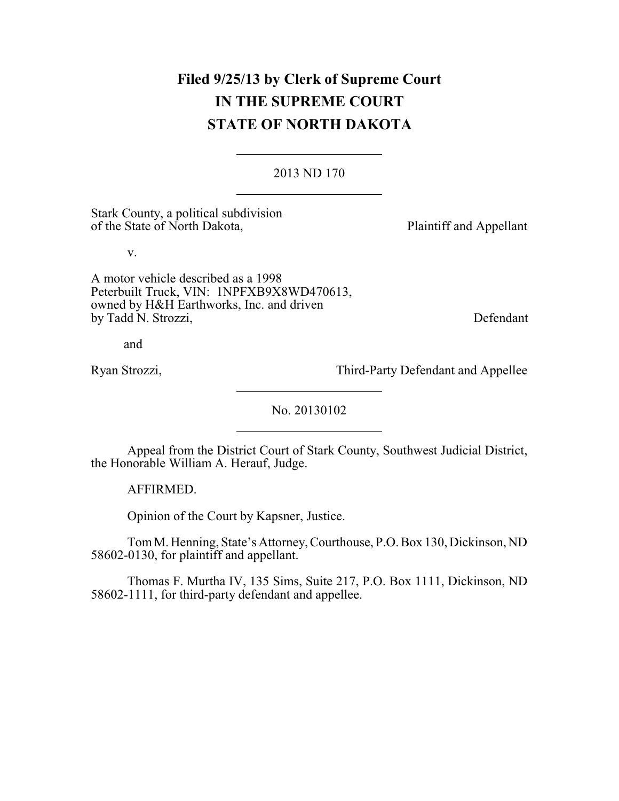# **Filed 9/25/13 by Clerk of Supreme Court IN THE SUPREME COURT STATE OF NORTH DAKOTA**

### 2013 ND 170

Stark County, a political subdivision of the State of North Dakota, Plaintiff and Appellant

v.

A motor vehicle described as a 1998 Peterbuilt Truck, VIN: 1NPFXB9X8WD470613, owned by H&H Earthworks, Inc. and driven by Tadd N. Strozzi, Defendant

and

Ryan Strozzi, Third-Party Defendant and Appellee

No. 20130102

Appeal from the District Court of Stark County, Southwest Judicial District, the Honorable William A. Herauf, Judge.

AFFIRMED.

Opinion of the Court by Kapsner, Justice.

TomM.Henning, State's Attorney,Courthouse, P.O. Box 130, Dickinson, ND 58602-0130, for plaintiff and appellant.

Thomas F. Murtha IV, 135 Sims, Suite 217, P.O. Box 1111, Dickinson, ND 58602-1111, for third-party defendant and appellee.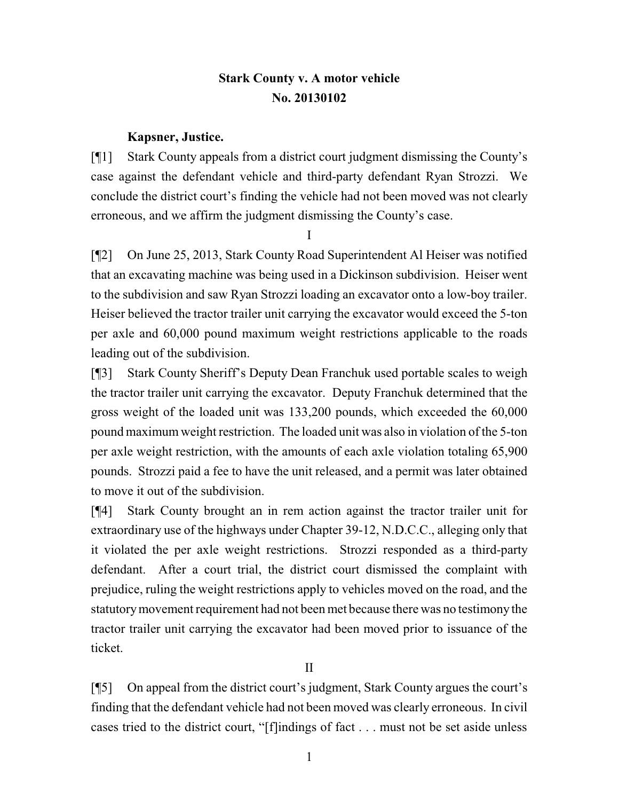## **Stark County v. A motor vehicle No. 20130102**

### **Kapsner, Justice.**

[¶1] Stark County appeals from a district court judgment dismissing the County's case against the defendant vehicle and third-party defendant Ryan Strozzi. We conclude the district court's finding the vehicle had not been moved was not clearly erroneous, and we affirm the judgment dismissing the County's case.

I

[¶2] On June 25, 2013, Stark County Road Superintendent Al Heiser was notified that an excavating machine was being used in a Dickinson subdivision. Heiser went to the subdivision and saw Ryan Strozzi loading an excavator onto a low-boy trailer. Heiser believed the tractor trailer unit carrying the excavator would exceed the 5-ton per axle and 60,000 pound maximum weight restrictions applicable to the roads leading out of the subdivision.

[¶3] Stark County Sheriff's Deputy Dean Franchuk used portable scales to weigh the tractor trailer unit carrying the excavator. Deputy Franchuk determined that the gross weight of the loaded unit was 133,200 pounds, which exceeded the 60,000 pound maximum weight restriction. The loaded unit was also in violation of the 5-ton per axle weight restriction, with the amounts of each axle violation totaling 65,900 pounds. Strozzi paid a fee to have the unit released, and a permit was later obtained to move it out of the subdivision.

[¶4] Stark County brought an in rem action against the tractor trailer unit for extraordinary use of the highways under Chapter 39-12, N.D.C.C., alleging only that it violated the per axle weight restrictions. Strozzi responded as a third-party defendant. After a court trial, the district court dismissed the complaint with prejudice, ruling the weight restrictions apply to vehicles moved on the road, and the statutorymovement requirement had not been met because there was no testimony the tractor trailer unit carrying the excavator had been moved prior to issuance of the ticket.

II

[¶5] On appeal from the district court's judgment, Stark County argues the court's finding that the defendant vehicle had not been moved was clearly erroneous. In civil cases tried to the district court, "[f]indings of fact . . . must not be set aside unless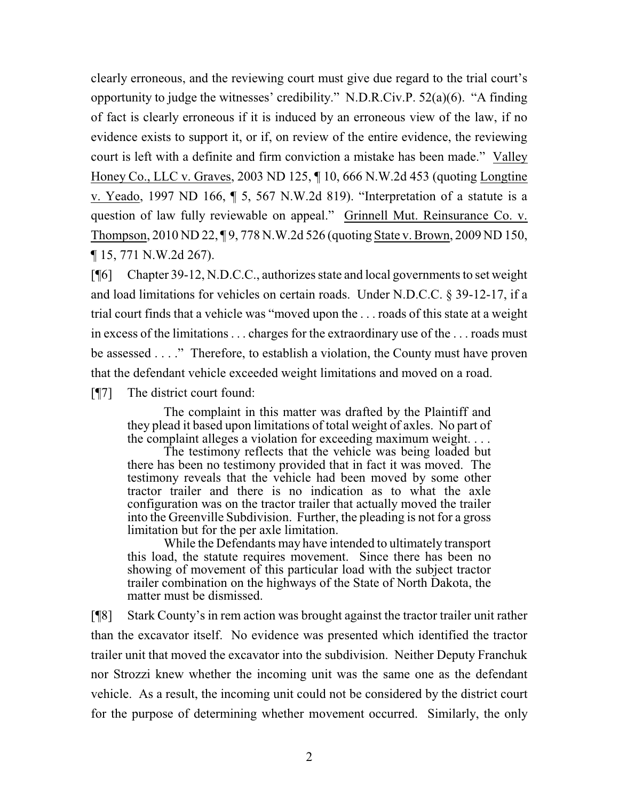clearly erroneous, and the reviewing court must give due regard to the trial court's opportunity to judge the witnesses' credibility." N.D.R.Civ.P. 52(a)(6). "A finding of fact is clearly erroneous if it is induced by an erroneous view of the law, if no evidence exists to support it, or if, on review of the entire evidence, the reviewing court is left with a definite and firm conviction a mistake has been made." Valley Honey Co., LLC v. Graves, 2003 ND 125, ¶ 10, 666 N.W.2d 453 (quoting Longtine v. Yeado, 1997 ND 166, ¶ 5, 567 N.W.2d 819). "Interpretation of a statute is a question of law fully reviewable on appeal." Grinnell Mut. Reinsurance Co. v. Thompson, 2010 ND 22, ¶ 9, 778 N.W.2d 526 (quoting State v. Brown, 2009 ND 150, ¶ 15, 771 N.W.2d 267).

[¶6] Chapter 39-12, N.D.C.C., authorizes state and local governments to set weight and load limitations for vehicles on certain roads. Under N.D.C.C. § 39-12-17, if a trial court finds that a vehicle was "moved upon the . . . roads of this state at a weight in excess of the limitations . . . charges for the extraordinary use of the . . . roads must be assessed . . . ." Therefore, to establish a violation, the County must have proven that the defendant vehicle exceeded weight limitations and moved on a road.

[¶7] The district court found:

The complaint in this matter was drafted by the Plaintiff and they plead it based upon limitations of total weight of axles. No part of the complaint alleges a violation for exceeding maximum weight. . . .

The testimony reflects that the vehicle was being loaded but there has been no testimony provided that in fact it was moved. The testimony reveals that the vehicle had been moved by some other tractor trailer and there is no indication as to what the axle configuration was on the tractor trailer that actually moved the trailer into the Greenville Subdivision. Further, the pleading is not for a gross limitation but for the per axle limitation.

While the Defendants may have intended to ultimately transport this load, the statute requires movement. Since there has been no showing of movement of this particular load with the subject tractor trailer combination on the highways of the State of North Dakota, the matter must be dismissed.

[¶8] Stark County's in rem action was brought against the tractor trailer unit rather than the excavator itself. No evidence was presented which identified the tractor trailer unit that moved the excavator into the subdivision. Neither Deputy Franchuk nor Strozzi knew whether the incoming unit was the same one as the defendant vehicle. As a result, the incoming unit could not be considered by the district court for the purpose of determining whether movement occurred. Similarly, the only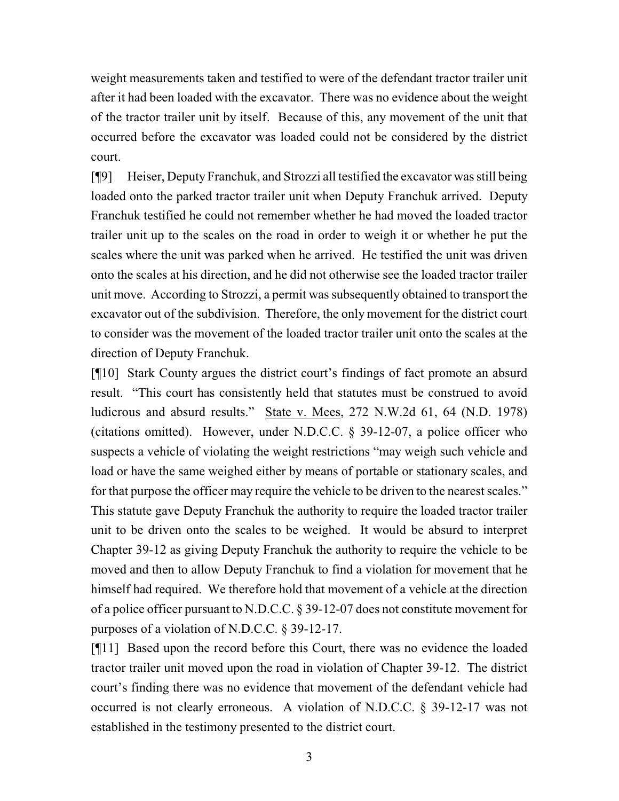weight measurements taken and testified to were of the defendant tractor trailer unit after it had been loaded with the excavator. There was no evidence about the weight of the tractor trailer unit by itself. Because of this, any movement of the unit that occurred before the excavator was loaded could not be considered by the district court.

[¶9] Heiser, Deputy Franchuk, and Strozzi all testified the excavator was still being loaded onto the parked tractor trailer unit when Deputy Franchuk arrived. Deputy Franchuk testified he could not remember whether he had moved the loaded tractor trailer unit up to the scales on the road in order to weigh it or whether he put the scales where the unit was parked when he arrived. He testified the unit was driven onto the scales at his direction, and he did not otherwise see the loaded tractor trailer unit move. According to Strozzi, a permit was subsequently obtained to transport the excavator out of the subdivision. Therefore, the only movement for the district court to consider was the movement of the loaded tractor trailer unit onto the scales at the direction of Deputy Franchuk.

[¶10] Stark County argues the district court's findings of fact promote an absurd result. "This court has consistently held that statutes must be construed to avoid ludicrous and absurd results." State v. Mees, 272 N.W.2d 61, 64 (N.D. 1978) (citations omitted). However, under N.D.C.C. § 39-12-07, a police officer who suspects a vehicle of violating the weight restrictions "may weigh such vehicle and load or have the same weighed either by means of portable or stationary scales, and for that purpose the officer may require the vehicle to be driven to the nearest scales." This statute gave Deputy Franchuk the authority to require the loaded tractor trailer unit to be driven onto the scales to be weighed. It would be absurd to interpret Chapter 39-12 as giving Deputy Franchuk the authority to require the vehicle to be moved and then to allow Deputy Franchuk to find a violation for movement that he himself had required. We therefore hold that movement of a vehicle at the direction of a police officer pursuant to N.D.C.C. § 39-12-07 does not constitute movement for purposes of a violation of N.D.C.C. § 39-12-17.

[¶11] Based upon the record before this Court, there was no evidence the loaded tractor trailer unit moved upon the road in violation of Chapter 39-12. The district court's finding there was no evidence that movement of the defendant vehicle had occurred is not clearly erroneous. A violation of N.D.C.C. § 39-12-17 was not established in the testimony presented to the district court.